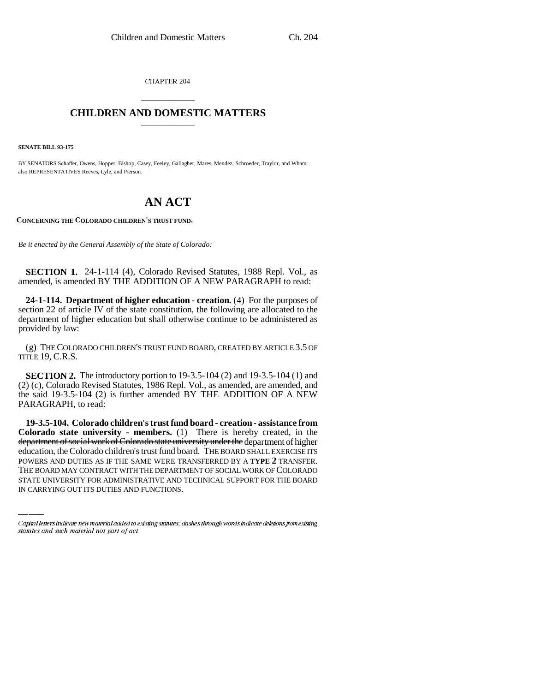CHAPTER 204

## \_\_\_\_\_\_\_\_\_\_\_\_\_\_\_ **CHILDREN AND DOMESTIC MATTERS** \_\_\_\_\_\_\_\_\_\_\_\_\_\_\_

**SENATE BILL 93-175**

BY SENATORS Schaffer, Owens, Hopper, Bishop, Casey, Feeley, Gallagher, Mares, Mendez, Schroeder, Traylor, and Wham; also REPRESENTATIVES Reeves, Lyle, and Pierson.

## **AN ACT**

**CONCERNING THE COLORADO CHILDREN'S TRUST FUND.**

*Be it enacted by the General Assembly of the State of Colorado:*

**SECTION 1.** 24-1-114 (4), Colorado Revised Statutes, 1988 Repl. Vol., as amended, is amended BY THE ADDITION OF A NEW PARAGRAPH to read:

**24-1-114. Department of higher education - creation.** (4) For the purposes of section 22 of article IV of the state constitution, the following are allocated to the department of higher education but shall otherwise continue to be administered as provided by law:

(g) THE COLORADO CHILDREN'S TRUST FUND BOARD, CREATED BY ARTICLE 3.5 OF TITLE 19, C.R.S.

**SECTION 2.** The introductory portion to 19-3.5-104 (2) and 19-3.5-104 (1) and (2) (c), Colorado Revised Statutes, 1986 Repl. Vol., as amended, are amended, and the said 19-3.5-104 (2) is further amended BY THE ADDITION OF A NEW PARAGRAPH, to read:

education, the Colorado children's trust fund board. THE BOARD SHALL EXERCISE ITS **19-3.5-104. Colorado children's trust fund board - creation - assistance from Colorado state university - members.** (1) There is hereby created, in the department of social work of Colorado state university under the department of higher POWERS AND DUTIES AS IF THE SAME WERE TRANSFERRED BY A **TYPE 2** TRANSFER. THE BOARD MAY CONTRACT WITH THE DEPARTMENT OF SOCIAL WORK OF COLORADO STATE UNIVERSITY FOR ADMINISTRATIVE AND TECHNICAL SUPPORT FOR THE BOARD IN CARRYING OUT ITS DUTIES AND FUNCTIONS.

Capital letters indicate new material added to existing statutes; dashes through words indicate deletions from existing statutes and such material not part of act.